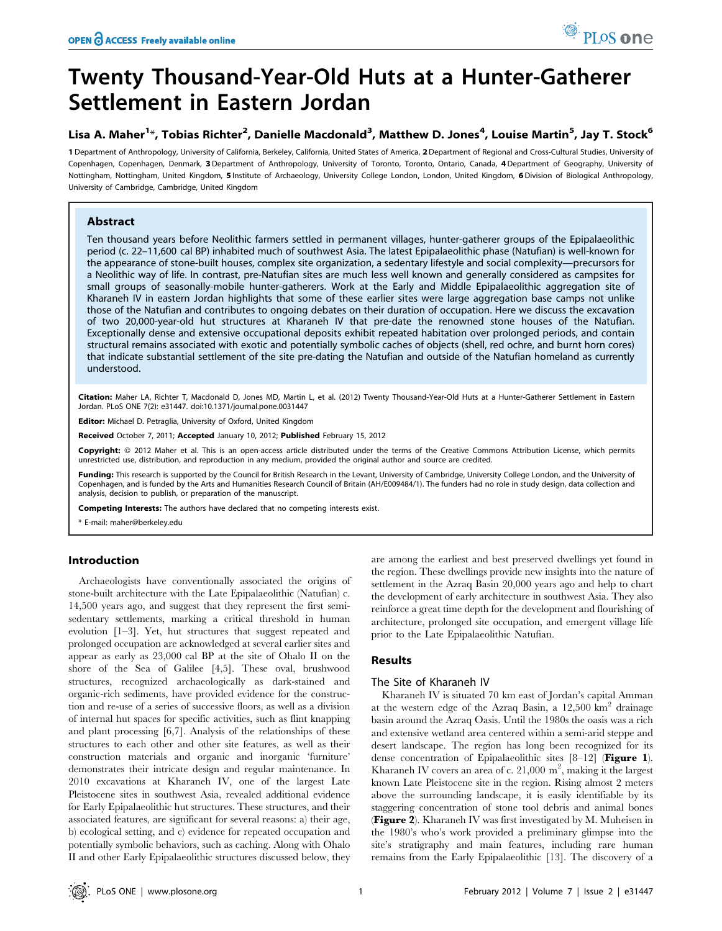# Twenty Thousand-Year-Old Huts at a Hunter-Gatherer Settlement in Eastern Jordan

## Lisa A. Maher<sup>1</sup>\*, Tobias Richter<sup>2</sup>, Danielle Macdonald<sup>3</sup>, Matthew D. Jones<sup>4</sup>, Louise Martin<sup>5</sup>, Jay T. Stock<sup>6</sup>

1 Department of Anthropology, University of California, Berkeley, California, United States of America, 2 Department of Regional and Cross-Cultural Studies, University of Copenhagen, Copenhagen, Denmark, 3Department of Anthropology, University of Toronto, Toronto, Ontario, Canada, 4 Department of Geography, University of Nottingham, Nottingham, United Kingdom, 5 Institute of Archaeology, University College London, London, United Kingdom, 6 Division of Biological Anthropology, University of Cambridge, Cambridge, United Kingdom

## Abstract

Ten thousand years before Neolithic farmers settled in permanent villages, hunter-gatherer groups of the Epipalaeolithic period (c. 22–11,600 cal BP) inhabited much of southwest Asia. The latest Epipalaeolithic phase (Natufian) is well-known for the appearance of stone-built houses, complex site organization, a sedentary lifestyle and social complexity—precursors for a Neolithic way of life. In contrast, pre-Natufian sites are much less well known and generally considered as campsites for small groups of seasonally-mobile hunter-gatherers. Work at the Early and Middle Epipalaeolithic aggregation site of Kharaneh IV in eastern Jordan highlights that some of these earlier sites were large aggregation base camps not unlike those of the Natufian and contributes to ongoing debates on their duration of occupation. Here we discuss the excavation of two 20,000-year-old hut structures at Kharaneh IV that pre-date the renowned stone houses of the Natufian. Exceptionally dense and extensive occupational deposits exhibit repeated habitation over prolonged periods, and contain structural remains associated with exotic and potentially symbolic caches of objects (shell, red ochre, and burnt horn cores) that indicate substantial settlement of the site pre-dating the Natufian and outside of the Natufian homeland as currently understood.

Citation: Maher LA, Richter T, Macdonald D, Jones MD, Martin L, et al. (2012) Twenty Thousand-Year-Old Huts at a Hunter-Gatherer Settlement in Eastern Jordan. PLoS ONE 7(2): e31447. doi:10.1371/journal.pone.0031447

Editor: Michael D. Petraglia, University of Oxford, United Kingdom

Received October 7, 2011; Accepted January 10, 2012; Published February 15, 2012

Copyright: © 2012 Maher et al. This is an open-access article distributed under the terms of the Creative Commons Attribution License, which permits unrestricted use, distribution, and reproduction in any medium, provided the original author and source are credited.

Funding: This research is supported by the Council for British Research in the Levant, University of Cambridge, University College London, and the University of Copenhagen, and is funded by the Arts and Humanities Research Council of Britain (AH/E009484/1). The funders had no role in study design, data collection and analysis, decision to publish, or preparation of the manuscript.

Competing Interests: The authors have declared that no competing interests exist.

\* E-mail: maher@berkeley.edu

## Introduction

Archaeologists have conventionally associated the origins of stone-built architecture with the Late Epipalaeolithic (Natufian) c. 14,500 years ago, and suggest that they represent the first semisedentary settlements, marking a critical threshold in human evolution [1–3]. Yet, hut structures that suggest repeated and prolonged occupation are acknowledged at several earlier sites and appear as early as 23,000 cal BP at the site of Ohalo II on the shore of the Sea of Galilee [4,5]. These oval, brushwood structures, recognized archaeologically as dark-stained and organic-rich sediments, have provided evidence for the construction and re-use of a series of successive floors, as well as a division of internal hut spaces for specific activities, such as flint knapping and plant processing [6,7]. Analysis of the relationships of these structures to each other and other site features, as well as their construction materials and organic and inorganic 'furniture' demonstrates their intricate design and regular maintenance. In 2010 excavations at Kharaneh IV, one of the largest Late Pleistocene sites in southwest Asia, revealed additional evidence for Early Epipalaeolithic hut structures. These structures, and their associated features, are significant for several reasons: a) their age, b) ecological setting, and c) evidence for repeated occupation and potentially symbolic behaviors, such as caching. Along with Ohalo II and other Early Epipalaeolithic structures discussed below, they

are among the earliest and best preserved dwellings yet found in the region. These dwellings provide new insights into the nature of settlement in the Azraq Basin 20,000 years ago and help to chart the development of early architecture in southwest Asia. They also reinforce a great time depth for the development and flourishing of architecture, prolonged site occupation, and emergent village life prior to the Late Epipalaeolithic Natufian.

## Results

## The Site of Kharaneh IV

Kharaneh IV is situated 70 km east of Jordan's capital Amman at the western edge of the Azraq Basin, a  $12,500 \text{ km}^2$  drainage basin around the Azraq Oasis. Until the 1980s the oasis was a rich and extensive wetland area centered within a semi-arid steppe and desert landscape. The region has long been recognized for its dense concentration of Epipalaeolithic sites [8-12] (Figure 1). Kharaneh IV covers an area of c.  $21,000$  m<sup>2</sup>, making it the largest known Late Pleistocene site in the region. Rising almost 2 meters above the surrounding landscape, it is easily identifiable by its staggering concentration of stone tool debris and animal bones (Figure 2). Kharaneh IV was first investigated by M. Muheisen in the 1980's who's work provided a preliminary glimpse into the site's stratigraphy and main features, including rare human remains from the Early Epipalaeolithic [13]. The discovery of a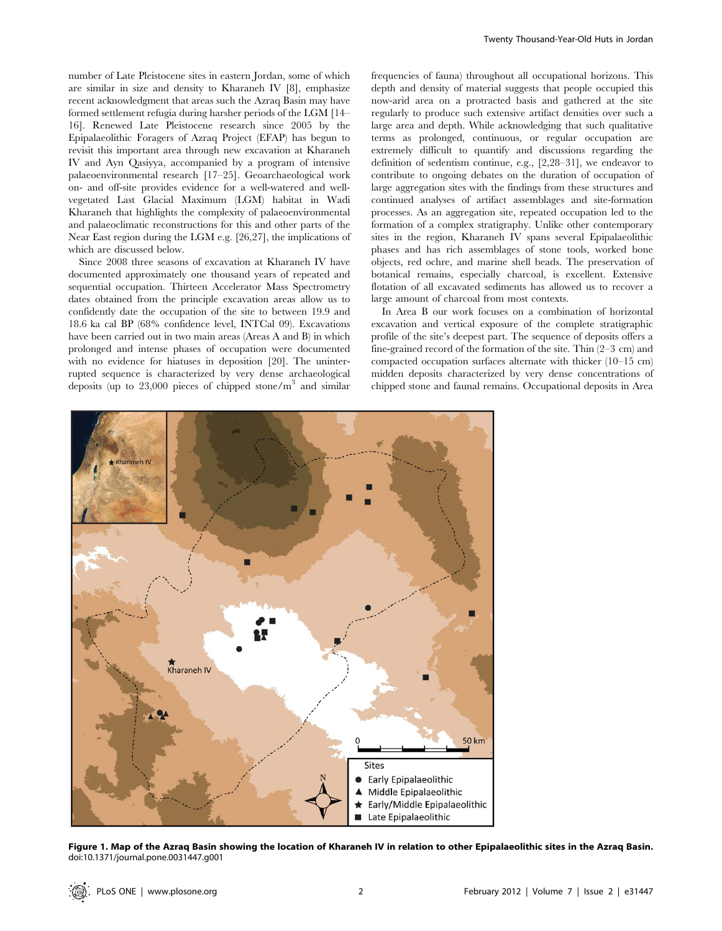number of Late Pleistocene sites in eastern Jordan, some of which are similar in size and density to Kharaneh IV [8], emphasize recent acknowledgment that areas such the Azraq Basin may have formed settlement refugia during harsher periods of the LGM [14– 16]. Renewed Late Pleistocene research since 2005 by the Epipalaeolithic Foragers of Azraq Project (EFAP) has begun to revisit this important area through new excavation at Kharaneh IV and Ayn Qasiyya, accompanied by a program of intensive palaeoenvironmental research [17–25]. Geoarchaeological work on- and off-site provides evidence for a well-watered and wellvegetated Last Glacial Maximum (LGM) habitat in Wadi Kharaneh that highlights the complexity of palaeoenvironmental and palaeoclimatic reconstructions for this and other parts of the Near East region during the LGM e.g. [26,27], the implications of which are discussed below.

Since 2008 three seasons of excavation at Kharaneh IV have documented approximately one thousand years of repeated and sequential occupation. Thirteen Accelerator Mass Spectrometry dates obtained from the principle excavation areas allow us to confidently date the occupation of the site to between 19.9 and 18.6 ka cal BP (68% confidence level, INTCal 09). Excavations have been carried out in two main areas (Areas A and B) in which prolonged and intense phases of occupation were documented with no evidence for hiatuses in deposition [20]. The uninterrupted sequence is characterized by very dense archaeological deposits (up to  $23,000$  pieces of chipped stone/m<sup>3</sup> and similar

frequencies of fauna) throughout all occupational horizons. This depth and density of material suggests that people occupied this now-arid area on a protracted basis and gathered at the site regularly to produce such extensive artifact densities over such a large area and depth. While acknowledging that such qualitative terms as prolonged, continuous, or regular occupation are extremely difficult to quantify and discussions regarding the definition of sedentism continue, e.g., [2,28–31], we endeavor to contribute to ongoing debates on the duration of occupation of large aggregation sites with the findings from these structures and continued analyses of artifact assemblages and site-formation processes. As an aggregation site, repeated occupation led to the formation of a complex stratigraphy. Unlike other contemporary sites in the region, Kharaneh IV spans several Epipalaeolithic phases and has rich assemblages of stone tools, worked bone objects, red ochre, and marine shell beads. The preservation of botanical remains, especially charcoal, is excellent. Extensive flotation of all excavated sediments has allowed us to recover a large amount of charcoal from most contexts.

In Area B our work focuses on a combination of horizontal excavation and vertical exposure of the complete stratigraphic profile of the site's deepest part. The sequence of deposits offers a fine-grained record of the formation of the site. Thin (2–3 cm) and compacted occupation surfaces alternate with thicker (10–15 cm) midden deposits characterized by very dense concentrations of chipped stone and faunal remains. Occupational deposits in Area



Figure 1. Map of the Azraq Basin showing the location of Kharaneh IV in relation to other Epipalaeolithic sites in the Azraq Basin. doi:10.1371/journal.pone.0031447.g001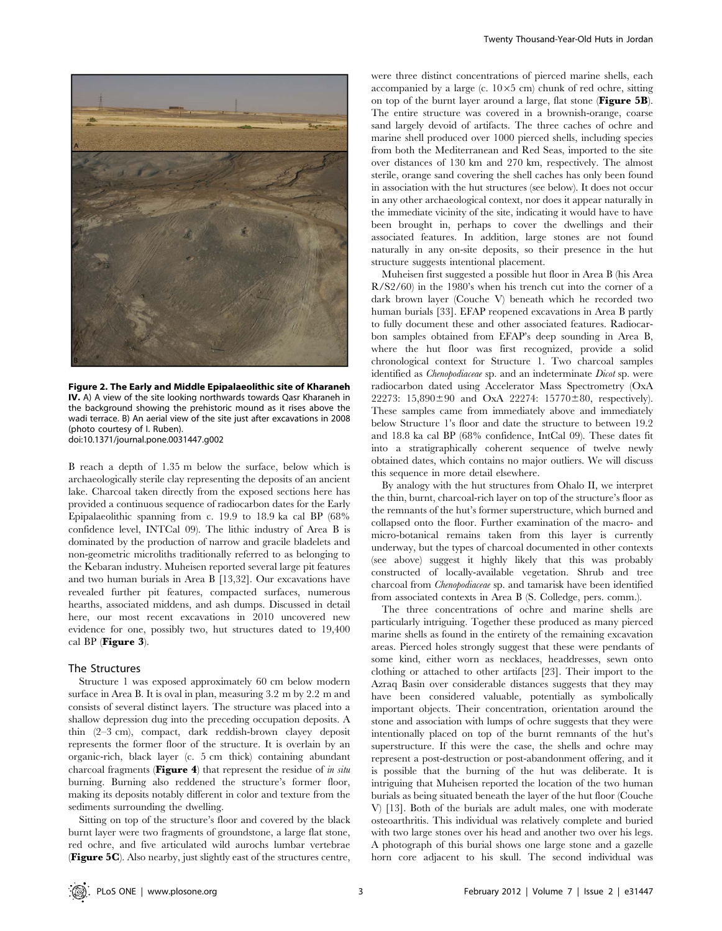

Figure 2. The Early and Middle Epipalaeolithic site of Kharaneh IV. A) A view of the site looking northwards towards Qasr Kharaneh in the background showing the prehistoric mound as it rises above the wadi terrace. B) An aerial view of the site just after excavations in 2008 (photo courtesy of I. Ruben). doi:10.1371/journal.pone.0031447.g002

B reach a depth of 1.35 m below the surface, below which is archaeologically sterile clay representing the deposits of an ancient lake. Charcoal taken directly from the exposed sections here has provided a continuous sequence of radiocarbon dates for the Early Epipalaeolithic spanning from c. 19.9 to 18.9 ka cal BP (68% confidence level, INTCal 09). The lithic industry of Area B is dominated by the production of narrow and gracile bladelets and non-geometric microliths traditionally referred to as belonging to the Kebaran industry. Muheisen reported several large pit features and two human burials in Area B [13,32]. Our excavations have revealed further pit features, compacted surfaces, numerous hearths, associated middens, and ash dumps. Discussed in detail here, our most recent excavations in 2010 uncovered new evidence for one, possibly two, hut structures dated to 19,400 cal BP (Figure 3).

#### The Structures

Structure 1 was exposed approximately 60 cm below modern surface in Area B. It is oval in plan, measuring 3.2 m by 2.2 m and consists of several distinct layers. The structure was placed into a shallow depression dug into the preceding occupation deposits. A thin (2–3 cm), compact, dark reddish-brown clayey deposit represents the former floor of the structure. It is overlain by an organic-rich, black layer (c. 5 cm thick) containing abundant charcoal fragments (Figure 4) that represent the residue of in situ burning. Burning also reddened the structure's former floor, making its deposits notably different in color and texture from the sediments surrounding the dwelling.

Sitting on top of the structure's floor and covered by the black burnt layer were two fragments of groundstone, a large flat stone, red ochre, and five articulated wild aurochs lumbar vertebrae (Figure 5C). Also nearby, just slightly east of the structures centre,

were three distinct concentrations of pierced marine shells, each accompanied by a large (c.  $10\times5$  cm) chunk of red ochre, sitting on top of the burnt layer around a large, flat stone (Figure 5B). The entire structure was covered in a brownish-orange, coarse sand largely devoid of artifacts. The three caches of ochre and marine shell produced over 1000 pierced shells, including species from both the Mediterranean and Red Seas, imported to the site over distances of 130 km and 270 km, respectively. The almost sterile, orange sand covering the shell caches has only been found in association with the hut structures (see below). It does not occur in any other archaeological context, nor does it appear naturally in the immediate vicinity of the site, indicating it would have to have been brought in, perhaps to cover the dwellings and their associated features. In addition, large stones are not found naturally in any on-site deposits, so their presence in the hut structure suggests intentional placement.

Muheisen first suggested a possible hut floor in Area B (his Area R/S2/60) in the 1980's when his trench cut into the corner of a dark brown layer (Couche V) beneath which he recorded two human burials [33]. EFAP reopened excavations in Area B partly to fully document these and other associated features. Radiocarbon samples obtained from EFAP's deep sounding in Area B, where the hut floor was first recognized, provide a solid chronological context for Structure 1. Two charcoal samples identified as *Chenopodiaceae* sp. and an indeterminate *Dicot* sp. were radiocarbon dated using Accelerator Mass Spectrometry (OxA 22273:  $15,890 \pm 90$  and OxA 22274:  $15770 \pm 80$ , respectively). These samples came from immediately above and immediately below Structure 1's floor and date the structure to between 19.2 and 18.8 ka cal BP (68% confidence, IntCal 09). These dates fit into a stratigraphically coherent sequence of twelve newly obtained dates, which contains no major outliers. We will discuss this sequence in more detail elsewhere.

By analogy with the hut structures from Ohalo II, we interpret the thin, burnt, charcoal-rich layer on top of the structure's floor as the remnants of the hut's former superstructure, which burned and collapsed onto the floor. Further examination of the macro- and micro-botanical remains taken from this layer is currently underway, but the types of charcoal documented in other contexts (see above) suggest it highly likely that this was probably constructed of locally-available vegetation. Shrub and tree charcoal from Chenopodiaceae sp. and tamarisk have been identified from associated contexts in Area B (S. Colledge, pers. comm.).

The three concentrations of ochre and marine shells are particularly intriguing. Together these produced as many pierced marine shells as found in the entirety of the remaining excavation areas. Pierced holes strongly suggest that these were pendants of some kind, either worn as necklaces, headdresses, sewn onto clothing or attached to other artifacts [23]. Their import to the Azraq Basin over considerable distances suggests that they may have been considered valuable, potentially as symbolically important objects. Their concentration, orientation around the stone and association with lumps of ochre suggests that they were intentionally placed on top of the burnt remnants of the hut's superstructure. If this were the case, the shells and ochre may represent a post-destruction or post-abandonment offering, and it is possible that the burning of the hut was deliberate. It is intriguing that Muheisen reported the location of the two human burials as being situated beneath the layer of the hut floor (Couche V) [13]. Both of the burials are adult males, one with moderate osteoarthritis. This individual was relatively complete and buried with two large stones over his head and another two over his legs. A photograph of this burial shows one large stone and a gazelle horn core adjacent to his skull. The second individual was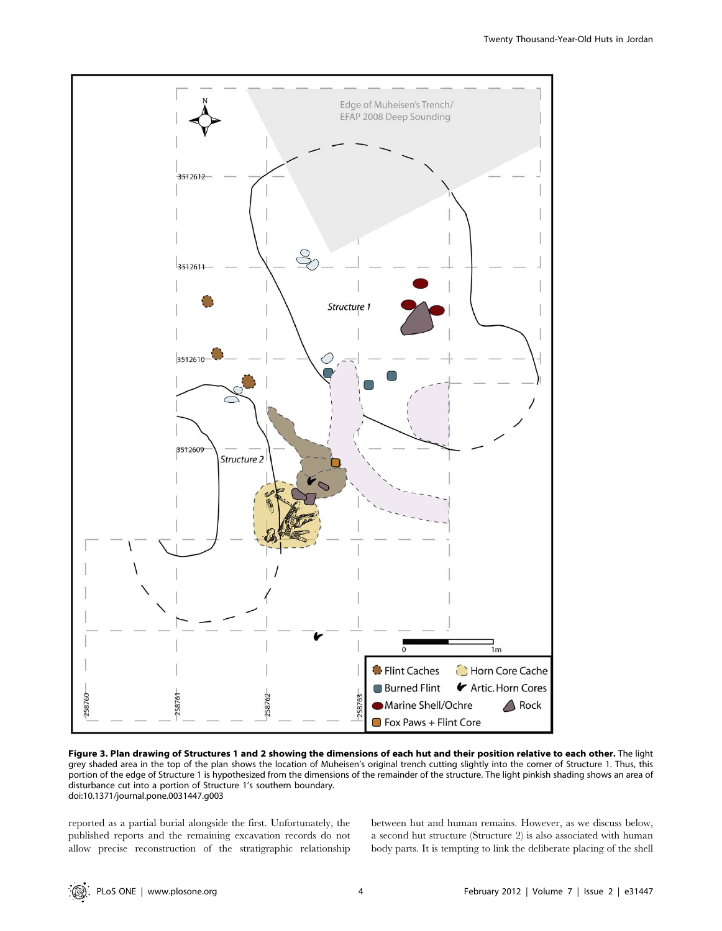

Figure 3. Plan drawing of Structures 1 and 2 showing the dimensions of each hut and their position relative to each other. The light grey shaded area in the top of the plan shows the location of Muheisen's original trench cutting slightly into the corner of Structure 1. Thus, this portion of the edge of Structure 1 is hypothesized from the dimensions of the remainder of the structure. The light pinkish shading shows an area of disturbance cut into a portion of Structure 1's southern boundary. doi:10.1371/journal.pone.0031447.g003

reported as a partial burial alongside the first. Unfortunately, the published reports and the remaining excavation records do not allow precise reconstruction of the stratigraphic relationship between hut and human remains. However, as we discuss below, a second hut structure (Structure 2) is also associated with human body parts. It is tempting to link the deliberate placing of the shell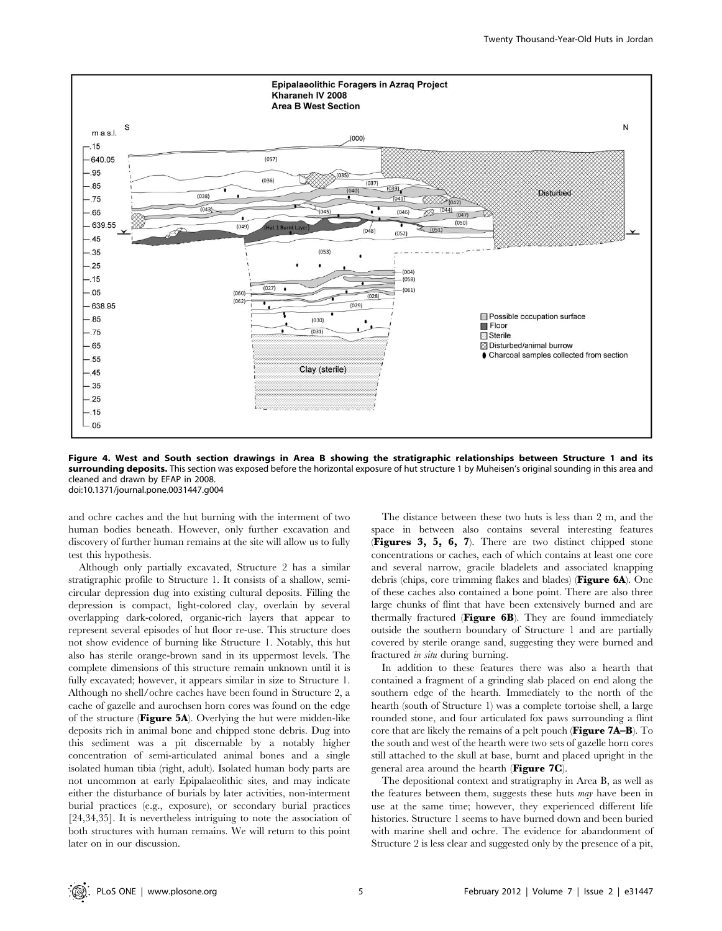

Figure 4. West and South section drawings in Area B showing the stratigraphic relationships between Structure 1 and its surrounding deposits. This section was exposed before the horizontal exposure of hut structure 1 by Muheisen's original sounding in this area and cleaned and drawn by EFAP in 2008. doi:10.1371/journal.pone.0031447.g004

and ochre caches and the hut burning with the interment of two human bodies beneath. However, only further excavation and discovery of further human remains at the site will allow us to fully test this hypothesis.

Although only partially excavated, Structure 2 has a similar stratigraphic profile to Structure 1. It consists of a shallow, semicircular depression dug into existing cultural deposits. Filling the depression is compact, light-colored clay, overlain by several overlapping dark-colored, organic-rich layers that appear to represent several episodes of hut floor re-use. This structure does not show evidence of burning like Structure 1. Notably, this hut also has sterile orange-brown sand in its uppermost levels. The complete dimensions of this structure remain unknown until it is fully excavated; however, it appears similar in size to Structure 1. Although no shell/ochre caches have been found in Structure 2, a cache of gazelle and aurochsen horn cores was found on the edge of the structure (Figure 5A). Overlying the hut were midden-like deposits rich in animal bone and chipped stone debris. Dug into this sediment was a pit discernable by a notably higher concentration of semi-articulated animal bones and a single isolated human tibia (right, adult). Isolated human body parts are not uncommon at early Epipalaeolithic sites, and may indicate either the disturbance of burials by later activities, non-interment burial practices (e.g., exposure), or secondary burial practices [24,34,35]. It is nevertheless intriguing to note the association of both structures with human remains. We will return to this point later on in our discussion.

The distance between these two huts is less than 2 m, and the space in between also contains several interesting features (Figures 3, 5, 6, 7). There are two distinct chipped stone concentrations or caches, each of which contains at least one core and several narrow, gracile bladelets and associated knapping debris (chips, core trimming flakes and blades) (Figure 6A). One of these caches also contained a bone point. There are also three large chunks of flint that have been extensively burned and are thermally fractured (Figure 6B). They are found immediately outside the southern boundary of Structure 1 and are partially covered by sterile orange sand, suggesting they were burned and fractured in situ during burning.

In addition to these features there was also a hearth that contained a fragment of a grinding slab placed on end along the southern edge of the hearth. Immediately to the north of the hearth (south of Structure 1) was a complete tortoise shell, a large rounded stone, and four articulated fox paws surrounding a flint core that are likely the remains of a pelt pouch (Figure 7A–B). To the south and west of the hearth were two sets of gazelle horn cores still attached to the skull at base, burnt and placed upright in the general area around the hearth (Figure 7C).

The depositional context and stratigraphy in Area B, as well as the features between them, suggests these huts may have been in use at the same time; however, they experienced different life histories. Structure 1 seems to have burned down and been buried with marine shell and ochre. The evidence for abandonment of Structure 2 is less clear and suggested only by the presence of a pit,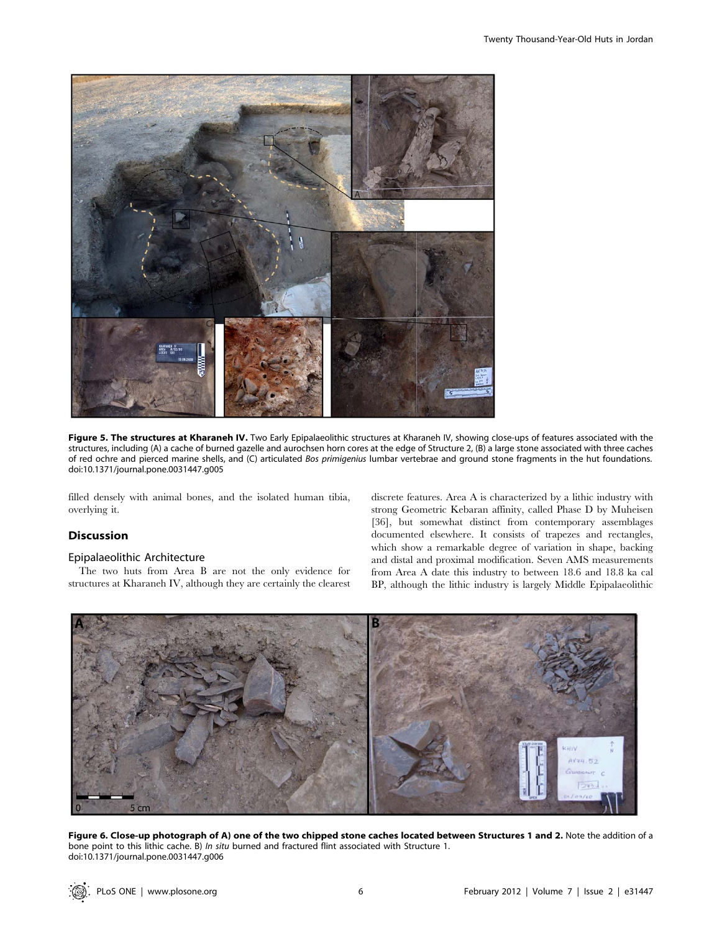

Figure 5. The structures at Kharaneh IV. Two Early Epipalaeolithic structures at Kharaneh IV, showing close-ups of features associated with the structures, including (A) a cache of burned gazelle and aurochsen horn cores at the edge of Structure 2, (B) a large stone associated with three caches of red ochre and pierced marine shells, and (C) articulated Bos primigenius lumbar vertebrae and ground stone fragments in the hut foundations. doi:10.1371/journal.pone.0031447.g005

filled densely with animal bones, and the isolated human tibia, overlying it.

## Discussion

## Epipalaeolithic Architecture

The two huts from Area B are not the only evidence for structures at Kharaneh IV, although they are certainly the clearest discrete features. Area A is characterized by a lithic industry with strong Geometric Kebaran affinity, called Phase D by Muheisen [36], but somewhat distinct from contemporary assemblages documented elsewhere. It consists of trapezes and rectangles, which show a remarkable degree of variation in shape, backing and distal and proximal modification. Seven AMS measurements from Area A date this industry to between 18.6 and 18.8 ka cal BP, although the lithic industry is largely Middle Epipalaeolithic



Figure 6. Close-up photograph of A) one of the two chipped stone caches located between Structures 1 and 2. Note the addition of a bone point to this lithic cache. B) In situ burned and fractured flint associated with Structure 1. doi:10.1371/journal.pone.0031447.g006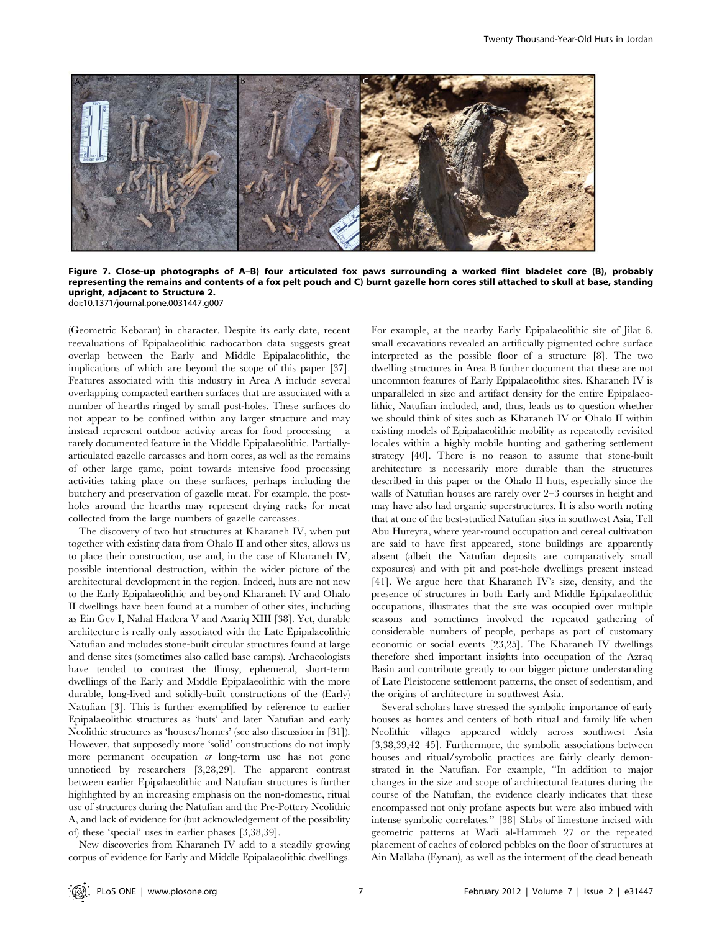

Figure 7. Close-up photographs of A–B) four articulated fox paws surrounding a worked flint bladelet core (B), probably representing the remains and contents of a fox pelt pouch and C) burnt gazelle horn cores still attached to skull at base, standing upright, adjacent to Structure 2. doi:10.1371/journal.pone.0031447.g007

(Geometric Kebaran) in character. Despite its early date, recent reevaluations of Epipalaeolithic radiocarbon data suggests great overlap between the Early and Middle Epipalaeolithic, the implications of which are beyond the scope of this paper [37]. Features associated with this industry in Area A include several overlapping compacted earthen surfaces that are associated with a number of hearths ringed by small post-holes. These surfaces do not appear to be confined within any larger structure and may instead represent outdoor activity areas for food processing – a rarely documented feature in the Middle Epipalaeolithic. Partiallyarticulated gazelle carcasses and horn cores, as well as the remains of other large game, point towards intensive food processing activities taking place on these surfaces, perhaps including the butchery and preservation of gazelle meat. For example, the postholes around the hearths may represent drying racks for meat collected from the large numbers of gazelle carcasses.

The discovery of two hut structures at Kharaneh IV, when put together with existing data from Ohalo II and other sites, allows us to place their construction, use and, in the case of Kharaneh IV, possible intentional destruction, within the wider picture of the architectural development in the region. Indeed, huts are not new to the Early Epipalaeolithic and beyond Kharaneh IV and Ohalo II dwellings have been found at a number of other sites, including as Ein Gev I, Nahal Hadera V and Azariq XIII [38]. Yet, durable architecture is really only associated with the Late Epipalaeolithic Natufian and includes stone-built circular structures found at large and dense sites (sometimes also called base camps). Archaeologists have tended to contrast the flimsy, ephemeral, short-term dwellings of the Early and Middle Epipalaeolithic with the more durable, long-lived and solidly-built constructions of the (Early) Natufian [3]. This is further exemplified by reference to earlier Epipalaeolithic structures as 'huts' and later Natufian and early Neolithic structures as 'houses/homes' (see also discussion in [31]). However, that supposedly more 'solid' constructions do not imply more permanent occupation or long-term use has not gone unnoticed by researchers [3,28,29]. The apparent contrast between earlier Epipalaeolithic and Natufian structures is further highlighted by an increasing emphasis on the non-domestic, ritual use of structures during the Natufian and the Pre-Pottery Neolithic A, and lack of evidence for (but acknowledgement of the possibility of) these 'special' uses in earlier phases [3,38,39].

New discoveries from Kharaneh IV add to a steadily growing corpus of evidence for Early and Middle Epipalaeolithic dwellings.

For example, at the nearby Early Epipalaeolithic site of Jilat 6, small excavations revealed an artificially pigmented ochre surface interpreted as the possible floor of a structure [8]. The two dwelling structures in Area B further document that these are not uncommon features of Early Epipalaeolithic sites. Kharaneh IV is unparalleled in size and artifact density for the entire Epipalaeolithic, Natufian included, and, thus, leads us to question whether we should think of sites such as Kharaneh IV or Ohalo II within existing models of Epipalaeolithic mobility as repeatedly revisited locales within a highly mobile hunting and gathering settlement strategy [40]. There is no reason to assume that stone-built architecture is necessarily more durable than the structures described in this paper or the Ohalo II huts, especially since the walls of Natufian houses are rarely over 2–3 courses in height and may have also had organic superstructures. It is also worth noting that at one of the best-studied Natufian sites in southwest Asia, Tell Abu Hureyra, where year-round occupation and cereal cultivation are said to have first appeared, stone buildings are apparently absent (albeit the Natufian deposits are comparatively small exposures) and with pit and post-hole dwellings present instead [41]. We argue here that Kharaneh IV's size, density, and the presence of structures in both Early and Middle Epipalaeolithic occupations, illustrates that the site was occupied over multiple seasons and sometimes involved the repeated gathering of considerable numbers of people, perhaps as part of customary economic or social events [23,25]. The Kharaneh IV dwellings therefore shed important insights into occupation of the Azraq Basin and contribute greatly to our bigger picture understanding of Late Pleistocene settlement patterns, the onset of sedentism, and the origins of architecture in southwest Asia.

Several scholars have stressed the symbolic importance of early houses as homes and centers of both ritual and family life when Neolithic villages appeared widely across southwest Asia [3,38,39,42–45]. Furthermore, the symbolic associations between houses and ritual/symbolic practices are fairly clearly demonstrated in the Natufian. For example, ''In addition to major changes in the size and scope of architectural features during the course of the Natufian, the evidence clearly indicates that these encompassed not only profane aspects but were also imbued with intense symbolic correlates.'' [38] Slabs of limestone incised with geometric patterns at Wadi al-Hammeh 27 or the repeated placement of caches of colored pebbles on the floor of structures at Ain Mallaha (Eynan), as well as the interment of the dead beneath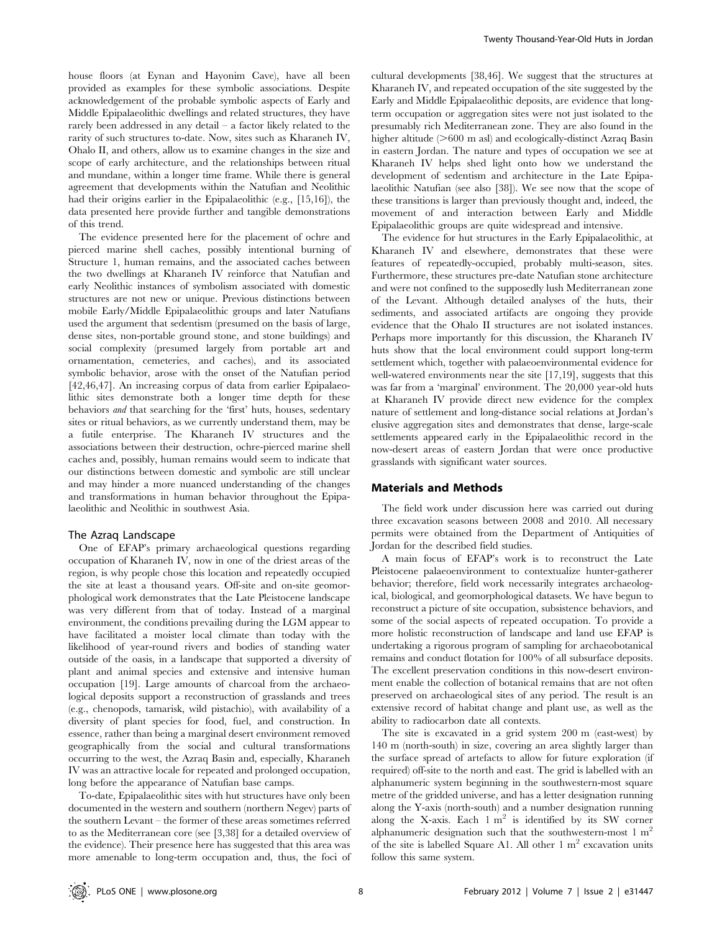house floors (at Eynan and Hayonim Cave), have all been provided as examples for these symbolic associations. Despite acknowledgement of the probable symbolic aspects of Early and Middle Epipalaeolithic dwellings and related structures, they have rarely been addressed in any detail – a factor likely related to the rarity of such structures to-date. Now, sites such as Kharaneh IV, Ohalo II, and others, allow us to examine changes in the size and scope of early architecture, and the relationships between ritual and mundane, within a longer time frame. While there is general agreement that developments within the Natufian and Neolithic had their origins earlier in the Epipalaeolithic (e.g., [15,16]), the data presented here provide further and tangible demonstrations of this trend.

The evidence presented here for the placement of ochre and pierced marine shell caches, possibly intentional burning of Structure 1, human remains, and the associated caches between the two dwellings at Kharaneh IV reinforce that Natufian and early Neolithic instances of symbolism associated with domestic structures are not new or unique. Previous distinctions between mobile Early/Middle Epipalaeolithic groups and later Natufians used the argument that sedentism (presumed on the basis of large, dense sites, non-portable ground stone, and stone buildings) and social complexity (presumed largely from portable art and ornamentation, cemeteries, and caches), and its associated symbolic behavior, arose with the onset of the Natufian period [42,46,47]. An increasing corpus of data from earlier Epipalaeolithic sites demonstrate both a longer time depth for these behaviors and that searching for the 'first' huts, houses, sedentary sites or ritual behaviors, as we currently understand them, may be a futile enterprise. The Kharaneh IV structures and the associations between their destruction, ochre-pierced marine shell caches and, possibly, human remains would seem to indicate that our distinctions between domestic and symbolic are still unclear and may hinder a more nuanced understanding of the changes and transformations in human behavior throughout the Epipalaeolithic and Neolithic in southwest Asia.

#### The Azraq Landscape

One of EFAP's primary archaeological questions regarding occupation of Kharaneh IV, now in one of the driest areas of the region, is why people chose this location and repeatedly occupied the site at least a thousand years. Off-site and on-site geomorphological work demonstrates that the Late Pleistocene landscape was very different from that of today. Instead of a marginal environment, the conditions prevailing during the LGM appear to have facilitated a moister local climate than today with the likelihood of year-round rivers and bodies of standing water outside of the oasis, in a landscape that supported a diversity of plant and animal species and extensive and intensive human occupation [19]. Large amounts of charcoal from the archaeological deposits support a reconstruction of grasslands and trees (e.g., chenopods, tamarisk, wild pistachio), with availability of a diversity of plant species for food, fuel, and construction. In essence, rather than being a marginal desert environment removed geographically from the social and cultural transformations occurring to the west, the Azraq Basin and, especially, Kharaneh IV was an attractive locale for repeated and prolonged occupation, long before the appearance of Natufian base camps.

To-date, Epipalaeolithic sites with hut structures have only been documented in the western and southern (northern Negev) parts of the southern Levant – the former of these areas sometimes referred to as the Mediterranean core (see [3,38] for a detailed overview of the evidence). Their presence here has suggested that this area was more amenable to long-term occupation and, thus, the foci of cultural developments [38,46]. We suggest that the structures at Kharaneh IV, and repeated occupation of the site suggested by the Early and Middle Epipalaeolithic deposits, are evidence that longterm occupation or aggregation sites were not just isolated to the presumably rich Mediterranean zone. They are also found in the higher altitude  $(>=0.600 \text{ m as})$  and ecologically-distinct Azraq Basin in eastern Jordan. The nature and types of occupation we see at Kharaneh IV helps shed light onto how we understand the development of sedentism and architecture in the Late Epipalaeolithic Natufian (see also [38]). We see now that the scope of these transitions is larger than previously thought and, indeed, the movement of and interaction between Early and Middle Epipalaeolithic groups are quite widespread and intensive.

The evidence for hut structures in the Early Epipalaeolithic, at Kharaneh IV and elsewhere, demonstrates that these were features of repeatedly-occupied, probably multi-season, sites. Furthermore, these structures pre-date Natufian stone architecture and were not confined to the supposedly lush Mediterranean zone of the Levant. Although detailed analyses of the huts, their sediments, and associated artifacts are ongoing they provide evidence that the Ohalo II structures are not isolated instances. Perhaps more importantly for this discussion, the Kharaneh IV huts show that the local environment could support long-term settlement which, together with palaeoenvironmental evidence for well-watered environments near the site [17,19], suggests that this was far from a 'marginal' environment. The 20,000 year-old huts at Kharaneh IV provide direct new evidence for the complex nature of settlement and long-distance social relations at Jordan's elusive aggregation sites and demonstrates that dense, large-scale settlements appeared early in the Epipalaeolithic record in the now-desert areas of eastern Jordan that were once productive grasslands with significant water sources.

#### Materials and Methods

The field work under discussion here was carried out during three excavation seasons between 2008 and 2010. All necessary permits were obtained from the Department of Antiquities of Jordan for the described field studies.

A main focus of EFAP's work is to reconstruct the Late Pleistocene palaeoenvironment to contextualize hunter-gatherer behavior; therefore, field work necessarily integrates archaeological, biological, and geomorphological datasets. We have begun to reconstruct a picture of site occupation, subsistence behaviors, and some of the social aspects of repeated occupation. To provide a more holistic reconstruction of landscape and land use EFAP is undertaking a rigorous program of sampling for archaeobotanical remains and conduct flotation for 100% of all subsurface deposits. The excellent preservation conditions in this now-desert environment enable the collection of botanical remains that are not often preserved on archaeological sites of any period. The result is an extensive record of habitat change and plant use, as well as the ability to radiocarbon date all contexts.

The site is excavated in a grid system 200 m (east-west) by 140 m (north-south) in size, covering an area slightly larger than the surface spread of artefacts to allow for future exploration (if required) off-site to the north and east. The grid is labelled with an alphanumeric system beginning in the southwestern-most square metre of the gridded universe, and has a letter designation running along the Y-axis (north-south) and a number designation running along the X-axis. Each  $1 \text{ m}^2$  is identified by its SW corner alphanumeric designation such that the southwestern-most  $1 \text{ m}^2$ of the site is labelled Square A1. All other  $1 \text{ m}^2$  excavation units follow this same system.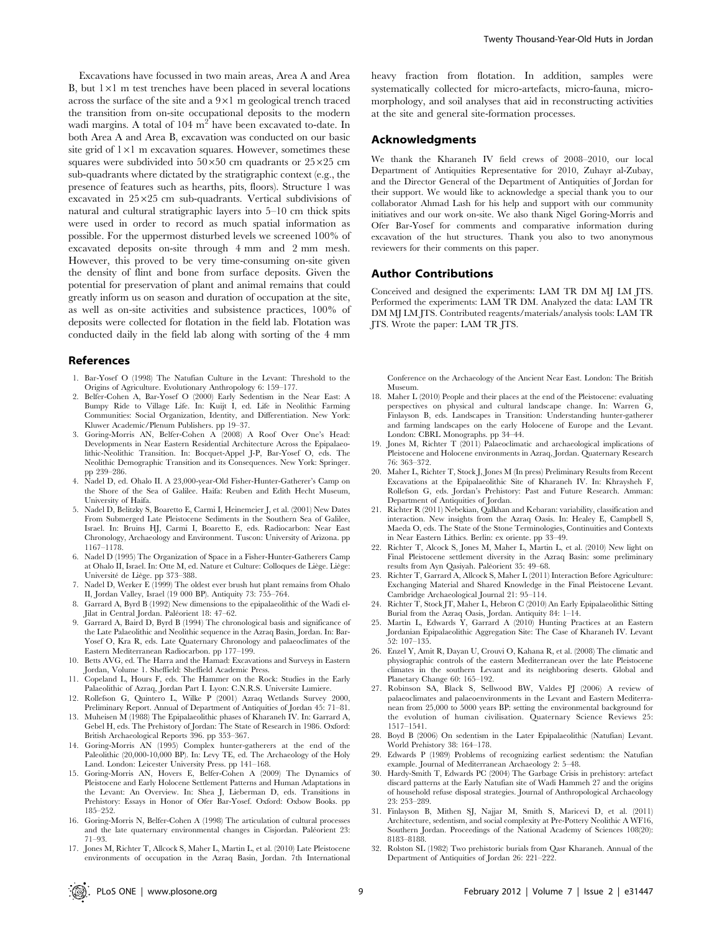Excavations have focussed in two main areas, Area A and Area B, but  $1\times1$  m test trenches have been placed in several locations across the surface of the site and a  $9\times1$  m geological trench traced the transition from on-site occupational deposits to the modern wadi margins. A total of  $104 \text{ m}^2$  have been excavated to-date. In both Area A and Area B, excavation was conducted on our basic site grid of  $1\times1$  m excavation squares. However, sometimes these squares were subdivided into  $50\times50$  cm quadrants or  $25\times25$  cm sub-quadrants where dictated by the stratigraphic context (e.g., the presence of features such as hearths, pits, floors). Structure 1 was excavated in  $25\times25$  cm sub-quadrants. Vertical subdivisions of natural and cultural stratigraphic layers into 5–10 cm thick spits were used in order to record as much spatial information as possible. For the uppermost disturbed levels we screened 100% of excavated deposits on-site through 4 mm and 2 mm mesh. However, this proved to be very time-consuming on-site given the density of flint and bone from surface deposits. Given the potential for preservation of plant and animal remains that could greatly inform us on season and duration of occupation at the site, as well as on-site activities and subsistence practices, 100% of deposits were collected for flotation in the field lab. Flotation was conducted daily in the field lab along with sorting of the 4 mm

### References

- 1. Bar-Yosef O (1998) The Natufian Culture in the Levant: Threshold to the Origins of Agriculture. Evolutionary Anthropology 6: 159–177.
- 2. Belfer-Cohen A, Bar-Yosef O (2000) Early Sedentism in the Near East: A Bumpy Ride to Village Life. In: Kuijt I, ed. Life in Neolithic Farming Communities: Social Organization, Identity, and Differentiation. New York: Kluwer Academic/Plenum Publishers. pp 19–37.
- 3. Goring-Morris AN, Belfer-Cohen A (2008) A Roof Over One's Head: Developments in Near Eastern Residential Architecture Across the Epipalaeolithic-Neolithic Transition. In: Bocquet-Appel J-P, Bar-Yosef O, eds. The Neolithic Demographic Transition and its Consequences. New York: Springer. pp 239–286.
- 4. Nadel D, ed. Ohalo II. A 23,000-year-Old Fisher-Hunter-Gatherer's Camp on the Shore of the Sea of Galilee. Haifa: Reuben and Edith Hecht Museum, University of Haifa.
- 5. Nadel D, Belitzky S, Boaretto E, Carmi I, Heinemeier J, et al. (2001) New Dates From Submerged Late Pleistocene Sediments in the Southern Sea of Galilee, Israel. In: Bruins HJ, Carmi I, Boaretto E, eds. Radiocarbon: Near East Chronology, Archaeology and Environment. Tuscon: University of Arizona. pp 1167–1178.
- 6. Nadel D (1995) The Organization of Space in a Fisher-Hunter-Gatherers Camp at Ohalo II, Israel. In: Otte M, ed. Nature et Culture: Colloques de Liège. Liège: Université de Liège. pp 373-388.
- 7. Nadel D, Werker E (1999) The oldest ever brush hut plant remains from Ohalo II, Jordan Valley, Israel (19 000 BP). Antiquity 73: 755–764.
- 8. Garrard A, Byrd B (1992) New dimensions to the epipalaeolithic of the Wadi el-Jilat in Central Jordan. Paléorient 18: 47–62.
- 9. Garrard A, Baird D, Byrd B (1994) The chronological basis and significance of the Late Palaeolithic and Neolithic sequence in the Azraq Basin, Jordan. In: Bar-Yosef O, Kra R, eds. Late Quaternary Chronology and palaeoclimates of the Eastern Mediterranean Radiocarbon. pp 177–199.
- 10. Betts AVG, ed. The Harra and the Hamad: Excavations and Surveys in Eastern Jordan, Volume 1. Sheffield: Sheffield Academic Press.
- 11. Copeland L, Hours F, eds. The Hammer on the Rock: Studies in the Early Palaeolithic of Azraq, Jordan Part I. Lyon: C.N.R.S. Universite Lumiere.
- 12. Rollefson G, Quintero L, Wilke P (2001) Azraq Wetlands Survey 2000, Preliminary Report. Annual of Department of Antiquities of Jordan 45: 71–81.
- 13. Muheisen M (1988) The Epipalaeolithic phases of Kharaneh IV. In: Garrard A, Gebel H, eds. The Prehistory of Jordan: The State of Research in 1986. Oxford: British Archaeological Reports 396. pp 353–367.
- 14. Goring-Morris AN (1995) Complex hunter-gatherers at the end of the Paleolithic (20,000-10,000 BP). In: Levy TE, ed. The Archaeology of the Holy Land. London: Leicester University Press. pp 141–168.
- 15. Goring-Morris AN, Hovers E, Belfer-Cohen A (2009) The Dynamics of Pleistocene and Early Holocene Settlement Patterns and Human Adaptations in the Levant: An Overview. In: Shea J, Lieberman D, eds. Transitions in Prehistory: Essays in Honor of Ofer Bar-Yosef. Oxford: Oxbow Books. pp 185–252.
- 16. Goring-Morris N, Belfer-Cohen A (1998) The articulation of cultural processes and the late quaternary environmental changes in Cisjordan. Paléorient 23: 71–93.
- 17. Jones M, Richter T, Allcock S, Maher L, Martin L, et al. (2010) Late Pleistocene environments of occupation in the Azraq Basin, Jordan. 7th International

heavy fraction from flotation. In addition, samples were systematically collected for micro-artefacts, micro-fauna, micromorphology, and soil analyses that aid in reconstructing activities at the site and general site-formation processes.

## Acknowledgments

We thank the Kharaneh IV field crews of 2008–2010, our local Department of Antiquities Representative for 2010, Zuhayr al-Zubay, and the Director General of the Department of Antiquities of Jordan for their support. We would like to acknowledge a special thank you to our collaborator Ahmad Lash for his help and support with our community initiatives and our work on-site. We also thank Nigel Goring-Morris and Ofer Bar-Yosef for comments and comparative information during excavation of the hut structures. Thank you also to two anonymous reviewers for their comments on this paper.

#### Author Contributions

Conceived and designed the experiments: LAM TR DM MJ LM JTS. Performed the experiments: LAM TR DM. Analyzed the data: LAM TR DM MJ LM JTS. Contributed reagents/materials/analysis tools: LAM TR JTS. Wrote the paper: LAM TR JTS.

Conference on the Archaeology of the Ancient Near East. London: The British Museum.

- 18. Maher L (2010) People and their places at the end of the Pleistocene: evaluating perspectives on physical and cultural landscape change. In: Warren G, Finlayson B, eds. Landscapes in Transition: Understanding hunter-gatherer and farming landscapes on the early Holocene of Europe and the Levant. London: CBRL Monographs. pp 34–44.
- 19. Jones M, Richter T (2011) Palaeoclimatic and archaeological implications of Pleistocene and Holocene environments in Azraq, Jordan. Quaternary Research 76: 363–372.
- 20. Maher L, Richter T, Stock J, Jones M (In press) Preliminary Results from Recent Excavations at the Epipalaeolithic Site of Kharaneh IV. In: Khraysheh F, Rollefson G, eds. Jordan's Prehistory: Past and Future Research. Amman: Department of Antiquities of Jordan.
- 21. Richter R (2011) Nebekian, Qalkhan and Kebaran: variability, classification and interaction. New insights from the Azraq Oasis. In: Healey E, Campbell S, Maeda O, eds. The State of the Stone Terminologies, Continuities and Contexts in Near Eastern Lithics. Berlin: ex oriente. pp 33–49.
- 22. Richter T, Alcock S, Jones M, Maher L, Martin L, et al. (2010) New light on Final Pleistocene settlement diversity in the Azraq Basin: some preliminary results from Ayn Qasiyah. Paléorient 35: 49–68.
- 23. Richter T, Garrard A, Allcock S, Maher L (2011) Interaction Before Agriculture: Exchanging Material and Shared Knowledge in the Final Pleistocene Levant. Cambridge Archaeological Journal 21: 95–114.
- 24. Richter T, Stock JT, Maher L, Hebron C (2010) An Early Epipalaeolithic Sitting Burial from the Azraq Oasis, Jordan. Antiquity 84: 1–14.
- 25. Martin L, Edwards Y, Garrard A (2010) Hunting Practices at an Eastern Jordanian Epipalaeolithic Aggregation Site: The Case of Kharaneh IV. Levant 52: 107–135.
- 26. Enzel Y, Amit R, Dayan U, Crouvi O, Kahana R, et al. (2008) The climatic and physiographic controls of the eastern Mediterranean over the late Pleistocene climates in the southern Levant and its neighboring deserts. Global and Planetary Change 60: 165–192.
- 27. Robinson SA, Black S, Sellwood BW, Valdes PJ (2006) A review of palaeoclimates and palaeoenvironments in the Levant and Eastern Mediterranean from 25,000 to 5000 years BP: setting the environmental background for the evolution of human civilisation. Quaternary Science Reviews 25: 1517–1541.
- 28. Boyd B (2006) On sedentism in the Later Epipalaeolithic (Natufian) Levant. World Prehistory 38: 164–178.
- 29. Edwards P (1989) Problems of recognizing earliest sedentism: the Natufian example. Journal of Mediterranean Archaeology 2: 5–48.
- 30. Hardy-Smith T, Edwards PC (2004) The Garbage Crisis in prehistory: artefact discard patterns at the Early Natufian site of Wadi Hammeh 27 and the origins of household refuse disposal strategies. Journal of Anthropological Archaeology 23: 253–289.
- 31. Finlayson B, Mithen SJ, Najjar M, Smith S, Maricevi D, et al. (2011) Architecture, sedentism, and social complexity at Pre-Pottery Neolithic A WF16, Southern Jordan. Proceedings of the National Academy of Sciences 108(20): 8183–8188.
- 32. Rolston SL (1982) Two prehistoric burials from Qasr Kharaneh. Annual of the Department of Antiquities of Jordan 26: 221–222.